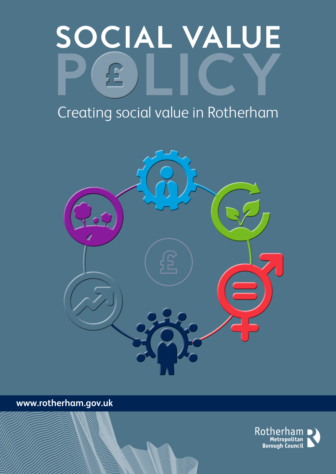# **SOCIAL VALUE POLICY**

# Creating social value in Rotherham



**www.rotherham.gov.uk**

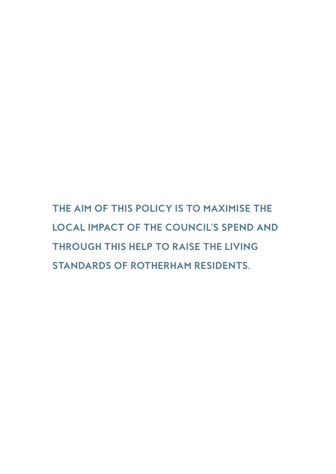**THE AIM OF THIS POLICY IS TO MAXIMISE THE LOCAL IMPACT OF THE COUNCIL'S SPEND AND THROUGH THIS HELP TO RAISE THE LIVING STANDARDS OF ROTHERHAM RESIDENTS.**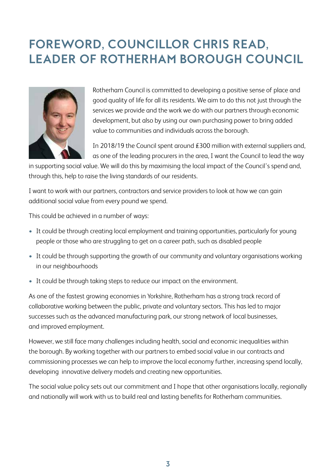# **FOREWORD, COUNCILLOR CHRIS READ, LEADER OF ROTHERHAM BOROUGH COUNCIL**



Rotherham Council is committed to developing a positive sense of place and good quality of life for all its residents. We aim to do this not just through the services we provide and the work we do with our partners through economic development, but also by using our own purchasing power to bring added value to communities and individuals across the borough.

In 2018/19 the Council spent around £300 million with external suppliers and, as one of the leading procurers in the area, I want the Council to lead the way

in supporting social value. We will do this by maximising the local impact of the Council's spend and, through this, help to raise the living standards of our residents.

I want to work with our partners, contractors and service providers to look at how we can gain additional social value from every pound we spend.

This could be achieved in a number of ways:

- It could be through creating local employment and training opportunities, particularly for young people or those who are struggling to get on a career path, such as disabled people
- It could be through supporting the growth of our community and voluntary organisations working in our neighbourhoods
- It could be through taking steps to reduce our impact on the environment.

As one of the fastest growing economies in Yorkshire, Rotherham has a strong track record of collaborative working between the public, private and voluntary sectors. This has led to major successes such as the advanced manufacturing park, our strong network of local businesses, and improved employment.

However, we still face many challenges including health, social and economic inequalities within the borough. By working together with our partners to embed social value in our contracts and commissioning processes we can help to improve the local economy further, increasing spend locally, developing innovative delivery models and creating new opportunities.

The social value policy sets out our commitment and I hope that other organisations locally, regionally and nationally will work with us to build real and lasting benefits for Rotherham communities.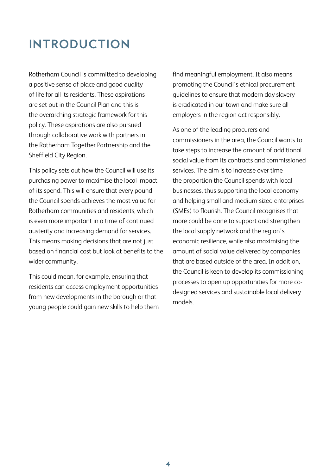# **INTRODUCTION**

Rotherham Council is committed to developing a positive sense of place and good quality of life for all its residents. These aspirations are set out in the Council Plan and this is the overarching strategic framework for this policy. These aspirations are also pursued through collaborative work with partners in the Rotherham Together Partnership and the Sheffield City Region.

This policy sets out how the Council will use its purchasing power to maximise the local impact of its spend. This will ensure that every pound the Council spends achieves the most value for Rotherham communities and residents, which is even more important in a time of continued austerity and increasing demand for services. This means making decisions that are not just based on financial cost but look at benefits to the wider community.

This could mean, for example, ensuring that residents can access employment opportunities from new developments in the borough or that young people could gain new skills to help them find meaningful employment. It also means promoting the Council's ethical procurement guidelines to ensure that modern day slavery is eradicated in our town and make sure all employers in the region act responsibly.

As one of the leading procurers and commissioners in the area, the Council wants to take steps to increase the amount of additional social value from its contracts and commissioned services. The aim is to increase over time the proportion the Council spends with local businesses, thus supporting the local economy and helping small and medium-sized enterprises (SMEs) to flourish. The Council recognises that more could be done to support and strengthen the local supply network and the region's economic resilience, while also maximising the amount of social value delivered by companies that are based outside of the area. In addition, the Council is keen to develop its commissioning processes to open up opportunities for more codesigned services and sustainable local delivery models.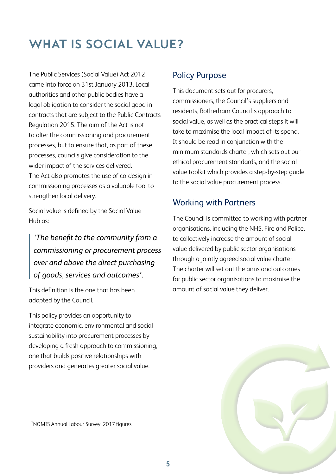# **WHAT IS SOCIAL VALUE?**

The Public Services (Social Value) Act 2012 came into force on 31st January 2013. Local authorities and other public bodies have a legal obligation to consider the social good in contracts that are subject to the Public Contracts Regulation 2015. The aim of the Act is not to alter the commissioning and procurement processes, but to ensure that, as part of these processes, councils give consideration to the wider impact of the services delivered. The Act also promotes the use of co-design in commissioning processes as a valuable tool to strengthen local delivery.

Social value is defined by the Social Value Hub as:

## *'The benefit to the community from a commissioning or procurement process over and above the direct purchasing of goods, services and outcomes'.*

This definition is the one that has been adopted by the Council.

This policy provides an opportunity to integrate economic, environmental and social sustainability into procurement processes by developing a fresh approach to commissioning, one that builds positive relationships with providers and generates greater social value.

## Policy Purpose

This document sets out for procurers, commissioners, the Council's suppliers and residents, Rotherham Council's approach to social value, as well as the practical steps it will take to maximise the local impact of its spend. It should be read in conjunction with the minimum standards charter, which sets out our ethical procurement standards, and the social value toolkit which provides a step-by-step guide to the social value procurement process.

## Working with Partners

The Council is committed to working with partner organisations, including the NHS, Fire and Police, to collectively increase the amount of social value delivered by public sector organisations through a jointly agreed social value charter. The charter will set out the aims and outcomes for public sector organisations to maximise the amount of social value they deliver.



<sup>1</sup>NOMIS Annual Labour Survey, 2017 figures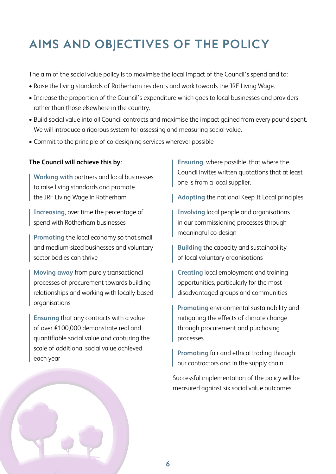# **AIMS AND OBJECTIVES OF THE POLICY**

The aim of the social value policy is to maximise the local impact of the Council's spend and to:

- Raise the living standards of Rotherham residents and work towards the JRF Living Wage.
- Increase the proportion of the Council's expenditure which goes to local businesses and providers rather than those elsewhere in the country.
- Build social value into all Council contracts and maximise the impact gained from every pound spent. We will introduce a rigorous system for assessing and measuring social value.
- Commit to the principle of co-designing services wherever possible

#### **The Council will achieve this by:**

**Working with** partners and local businesses to raise living standards and promote the JRF Living Wage in Rotherham

**Increasing**, over time the percentage of spend with Rotherham businesses

**Promoting** the local economy so that small and medium-sized businesses and voluntary sector bodies can thrive

**Moving away** from purely transactional processes of procurement towards building relationships and working with locally-based organisations

**Ensuring** that any contracts with a value of over £100,000 demonstrate real and quantifiable social value and capturing the scale of additional social value achieved each year

**Ensuring,** where possible, that where the Council invites written quotations that at least one is from a local supplier.

**Adopting** the national Keep It Local principles

**Involving** local people and organisations in our commissioning processes through meaningful co-design

**Building** the capacity and sustainability of local voluntary organisations

**Creating** local employment and training opportunities, particularly for the most disadvantaged groups and communities

**Promoting** environmental sustainability and mitigating the effects of climate change through procurement and purchasing processes

**Promoting** fair and ethical trading through our contractors and in the supply chain

Successful implementation of the policy will be measured against six social value outcomes.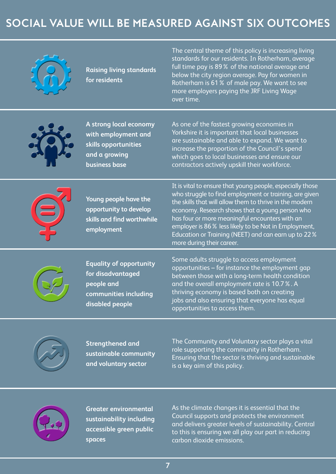# **SOCIAL VALUE WILL BE MEASURED AGAINST SIX OUTCOMES**



**Raising living standards for residents** 

The central theme of this policy is increasing living standards for our residents. In Rotherham, average full time pay is 89% of the national average and below the city region average. Pay for women in Rotherham is 61% of male pay. We want to see more employers paying the JRF Living Wage over time.



**A strong local economy with employment and skills opportunities and a growing business base**

As one of the fastest growing economies in Yorkshire it is important that local businesses are sustainable and able to expand. We want to increase the proportion of the Council's spend which goes to local businesses and ensure our contractors actively upskill their workforce.



**Young people have the opportunity to develop skills and find worthwhile employment**

It is vital to ensure that young people, especially those who struggle to find employment or training, are given the skills that will allow them to thrive in the modern economy. Research shows that a young person who has four or more meaningful encounters with an employer is 86% less likely to be Not in Employment, Education or Training (NEET) and can earn up to 22% more during their career.



**Equality of opportunity for disadvantaged people and communities including disabled people**

Some adults struggle to access employment opportunities – for instance the employment gap between those with a long-term health condition and the overall employment rate is 10.7%. A thriving economy is based both on creating jobs and also ensuring that everyone has equal opportunities to access them.



**Strengthened and sustainable community and voluntary sector**

The Community and Voluntary sector plays a vital role supporting the community in Rotherham. Ensuring that the sector is thriving and sustainable is a key aim of this policy.



**Greater environmental sustainability including accessible green public spaces**

As the climate changes it is essential that the Council supports and protects the environment and delivers greater levels of sustainability. Central to this is ensuring we all play our part in reducing carbon dioxide emissions.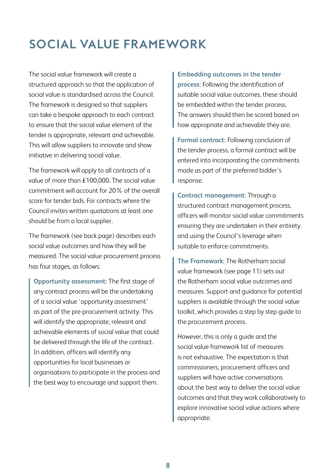# **SOCIAL VALUE FRAMEWORK**

The social value framework will create a structured approach so that the application of social value is standardised across the Council. The framework is designed so that suppliers can take a bespoke approach to each contract to ensure that the social value element of the tender is appropriate, relevant and achievable. This will allow suppliers to innovate and show initiative in delivering social value.

The framework will apply to all contracts of a value of more than £100,000. The social value commitment will account for 20% of the overall score for tender bids. For contracts where the Council invites written quotations at least one should be from a local supplier.

The framework (see back page) describes each social value outcomes and how they will be measured. The social value procurement process has four stages, as follows:

**Opportunity assessment:** The first stage of any contract process will be the undertaking of a social value 'opportunity assessment' as part of the pre-procurement activity. This will identify the appropriate, relevant and achievable elements of social value that could be delivered through the life of the contract. In addition, officers will identify any opportunities for local businesses or organisations to participate in the process and the best way to encourage and support them.

**Embedding outcomes in the tender process:** Following the identification of suitable social value outcomes, these should be embedded within the tender process. The answers should then be scored based on how appropriate and achievable they are.

**Formal contract:** Following conclusion of the tender process, a formal contract will be entered into incorporating the commitments made as part of the preferred bidder's response.

**Contract management:** Through a structured contract management process, officers will monitor social value commitments ensuring they are undertaken in their entirety and using the Council's leverage when suitable to enforce commitments.

**The Framework:** The Rotherham social value framework (see page 11) sets out the Rotherham social value outcomes and measures. Support and guidance for potential suppliers is available through the social value toolkit, which provides a step by step guide to the procurement process.

However, this is only a guide and the social value framework list of measures is not exhaustive. The expectation is that commissioners, procurement officers and suppliers will have active conversations about the best way to deliver the social value outcomes and that they work collaboratively to explore innovative social value actions where appropriate.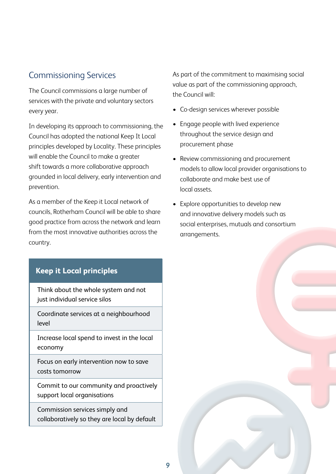## Commissioning Services

The Council commissions a large number of services with the private and voluntary sectors every year.

In developing its approach to commissioning, the Council has adopted the national Keep It Local principles developed by Locality. These principles will enable the Council to make a greater shift towards a more collaborative approach grounded in local delivery, early intervention and prevention.

As a member of the Keep it Local network of councils, Rotherham Council will be able to share good practice from across the network and learn from the most innovative authorities across the country.

## **Keep it Local principles**

Think about the whole system and not just individual service silos

Coordinate services at a neighbourhood level

Increase local spend to invest in the local economy

Focus on early intervention now to save costs tomorrow

Commit to our community and proactively support local organisations

Commission services simply and collaboratively so they are local by default As part of the commitment to maximising social value as part of the commissioning approach, the Council will:

- Co-design services wherever possible
- Engage people with lived experience throughout the service design and procurement phase
- Review commissioning and procurement models to allow local provider organisations to collaborate and make best use of local assets.
- Explore opportunities to develop new and innovative delivery models such as social enterprises, mutuals and consortium arrangements.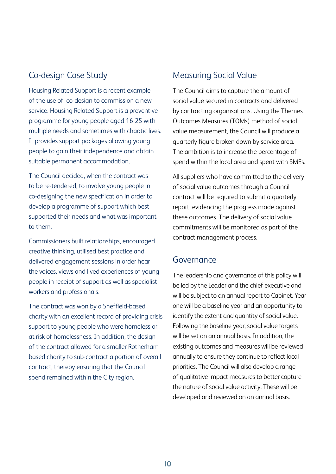## Co-design Case Study

Housing Related Support is a recent example of the use of co-design to commission a new service. Housing Related Support is a preventive programme for young people aged 16-25 with multiple needs and sometimes with chaotic lives. It provides support packages allowing young people to gain their independence and obtain suitable permanent accommodation.

The Council decided, when the contract was to be re-tendered, to involve young people in co-designing the new specification in order to develop a programme of support which best supported their needs and what was important to them.

Commissioners built relationships, encouraged creative thinking, utilised best practice and delivered engagement sessions in order hear the voices, views and lived experiences of young people in receipt of support as well as specialist workers and professionals.

The contract was won by a Sheffield-based charity with an excellent record of providing crisis support to young people who were homeless or at risk of homelessness. In addition, the design of the contract allowed for a smaller Rotherham based charity to sub-contract a portion of overall contract, thereby ensuring that the Council spend remained within the City region.

## Measuring Social Value

The Council aims to capture the amount of social value secured in contracts and delivered by contracting organisations. Using the Themes Outcomes Measures (TOMs) method of social value measurement, the Council will produce a quarterly figure broken down by service area. The ambition is to increase the percentage of spend within the local area and spent with SMEs.

All suppliers who have committed to the delivery of social value outcomes through a Council contract will be required to submit a quarterly report, evidencing the progress made against these outcomes. The delivery of social value commitments will be monitored as part of the contract management process.

### Governance

The leadership and governance of this policy will be led by the Leader and the chief executive and will be subject to an annual report to Cabinet. Year one will be a baseline year and an opportunity to identify the extent and quantity of social value. Following the baseline year, social value targets will be set on an annual basis. In addition, the existing outcomes and measures will be reviewed annually to ensure they continue to reflect local priorities. The Council will also develop a range of qualitative impact measures to better capture the nature of social value activity. These will be developed and reviewed on an annual basis.